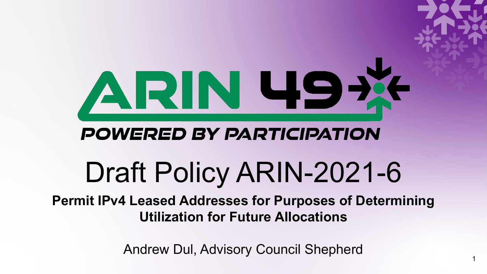

Andrew Dul, Advisory Council Shepherd

1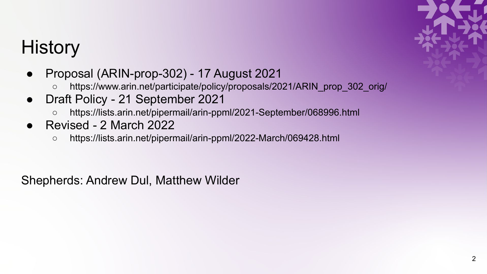## **History**

- Proposal (ARIN-prop-302) 17 August 2021
	- https://www.arin.net/participate/policy/proposals/2021/ARIN\_prop\_302\_orig/
- Draft Policy 21 September 2021
	- https://lists.arin.net/pipermail/arin-ppml/2021-September/068996.html
- Revised 2 March 2022
	- https://lists.arin.net/pipermail/arin-ppml/2022-March/069428.html

Shepherds: Andrew Dul, Matthew Wilder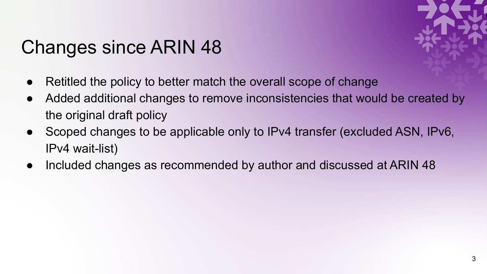## Changes since ARIN 48



- Retitled the policy to better match the overall scope of change
- Added additional changes to remove inconsistencies that would be created by the original draft policy
- Scoped changes to be applicable only to IPv4 transfer (excluded ASN, IPv6, IPv4 wait-list)
- Included changes as recommended by author and discussed at ARIN 48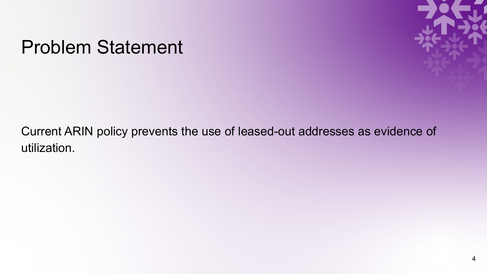### Problem Statement



Current ARIN policy prevents the use of leased-out addresses as evidence of utilization.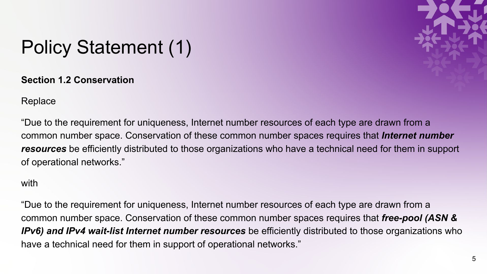

# Policy Statement (1)

**Section 1.2 Conservation** 

Replace

"Due to the requirement for uniqueness, Internet number resources of each type are drawn from a common number space. Conservation of these common number spaces requires that *Internet number resources* be efficiently distributed to those organizations who have a technical need for them in support of operational networks."

### with

"Due to the requirement for uniqueness, Internet number resources of each type are drawn from a common number space. Conservation of these common number spaces requires that *free-pool (ASN & IPv6) and IPv4 wait-list Internet number resources* be efficiently distributed to those organizations who have a technical need for them in support of operational networks."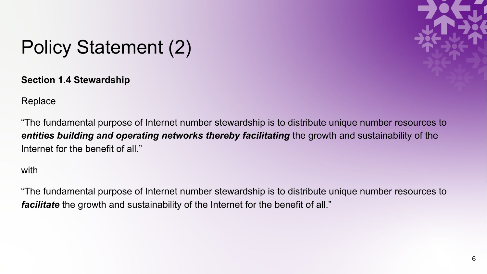

# Policy Statement (2)

**Section 1.4 Stewardship** 

Replace

"The fundamental purpose of Internet number stewardship is to distribute unique number resources to *entities building and operating networks thereby facilitating* the growth and sustainability of the Internet for the benefit of all."

### with

"The fundamental purpose of Internet number stewardship is to distribute unique number resources to *facilitate* the growth and sustainability of the Internet for the benefit of all."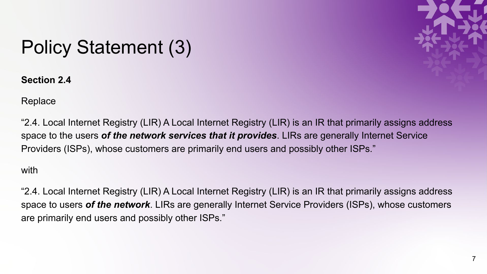

# Policy Statement (3)

**Section 2.4** 

Replace

"2.4. Local Internet Registry (LIR) A Local Internet Registry (LIR) is an IR that primarily assigns address space to the users *of the network services that it provides*. LIRs are generally Internet Service Providers (ISPs), whose customers are primarily end users and possibly other ISPs."

### with

"2.4. Local Internet Registry (LIR) A Local Internet Registry (LIR) is an IR that primarily assigns address space to users *of the network*. LIRs are generally Internet Service Providers (ISPs), whose customers are primarily end users and possibly other ISPs."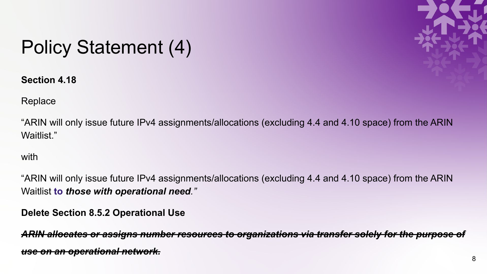

# Policy Statement (4)

**Section 4.18** 

Replace

"ARIN will only issue future IPv4 assignments/allocations (excluding 4.4 and 4.10 space) from the ARIN Waitlist."

with

"ARIN will only issue future IPv4 assignments/allocations (excluding 4.4 and 4.10 space) from the ARIN Waitlist **to** *those with operational need."*

**Delete Section 8.5.2 Operational Use**

ARIN allocates or assigns number resources to organizations via transfer solely for the purpose *use on an operational network.*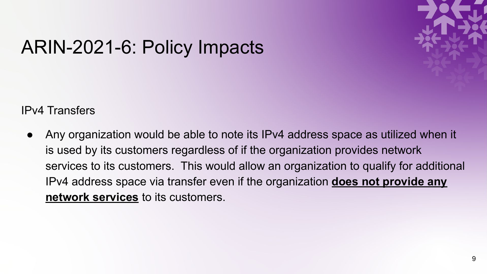## ARIN-2021-6: Policy Impacts

IPv4 Transfers

● Any organization would be able to note its IPv4 address space as utilized when it is used by its customers regardless of if the organization provides network services to its customers. This would allow an organization to qualify for additional IPv4 address space via transfer even if the organization **does not provide any network services** to its customers.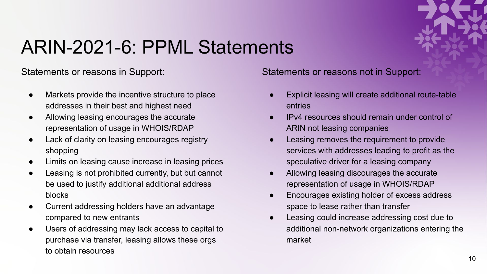

### ARIN-2021-6: PPML Statements

Statements or reasons in Support:

- Markets provide the incentive structure to place addresses in their best and highest need
- Allowing leasing encourages the accurate representation of usage in WHOIS/RDAP
- Lack of clarity on leasing encourages registry shopping
- Limits on leasing cause increase in leasing prices
- Leasing is not prohibited currently, but but cannot be used to justify additional additional address blocks
- Current addressing holders have an advantage compared to new entrants
- Users of addressing may lack access to capital to purchase via transfer, leasing allows these orgs to obtain resources

Statements or reasons not in Support:

- Explicit leasing will create additional route-table entries
- **IPv4** resources should remain under control of ARIN not leasing companies
- Leasing removes the requirement to provide services with addresses leading to profit as the speculative driver for a leasing company
- Allowing leasing discourages the accurate representation of usage in WHOIS/RDAP
- Encourages existing holder of excess address space to lease rather than transfer
- Leasing could increase addressing cost due to additional non-network organizations entering the market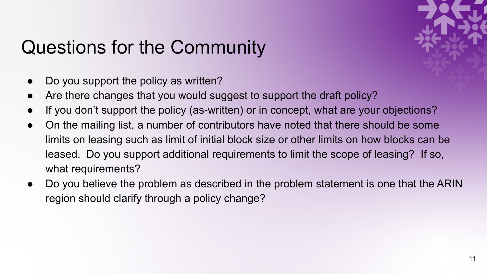# Questions for the Community

- Do you support the policy as written?
- Are there changes that you would suggest to support the draft policy?
- If you don't support the policy (as-written) or in concept, what are your objections?
- On the mailing list, a number of contributors have noted that there should be some limits on leasing such as limit of initial block size or other limits on how blocks can be leased. Do you support additional requirements to limit the scope of leasing? If so, what requirements?
- Do you believe the problem as described in the problem statement is one that the ARIN region should clarify through a policy change?